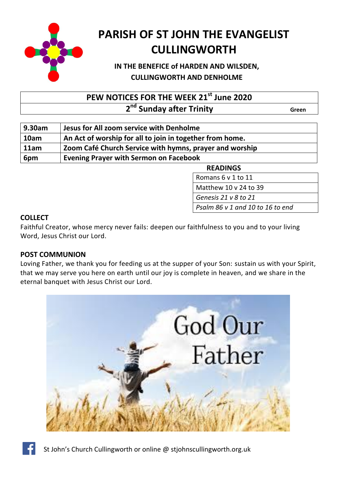

# **PARISH OF ST JOHN THE EVANGELIST CULLINGWORTH**

# **IN THE BENEFICE of HARDEN AND WILSDEN, CULLINGWORTH AND DENHOLME**

**PEW NOTICES FOR THE WEEK 21st June 2020**

**2 2 2 2<sup>nd</sup> Sunday after Trinity Conserverse** *Green* 

| 9.30am | Jesus for All zoom service with Denholme                 |
|--------|----------------------------------------------------------|
| 10am   | An Act of worship for all to join in together from home. |
| 11am   | Zoom Café Church Service with hymns, prayer and worship  |
| 6pm    | <b>Evening Prayer with Sermon on Facebook</b>            |

**READINGS** 

Romans  $6$  v 1 to 11

Matthew 10  $v$  24 to 39

411 Lord Jesus Christ, you have come to us *Genesis 21 v 8 to 21*

Psalm 86 v 1 and 10 to 16 to end

## **COLLECT**

Faithful Creator, whose mercy never fails: deepen our faithfulness to you and to your living Word, Jesus Christ our Lord.

## **POST COMMUNION**

Loving Father, we thank you for feeding us at the supper of your Son: sustain us with your Spirit, that we may serve you here on earth until our joy is complete in heaven, and we share in the eternal banquet with Jesus Christ our Lord.





St John's Church Cullingworth or online @ stjohnscullingworth.org.uk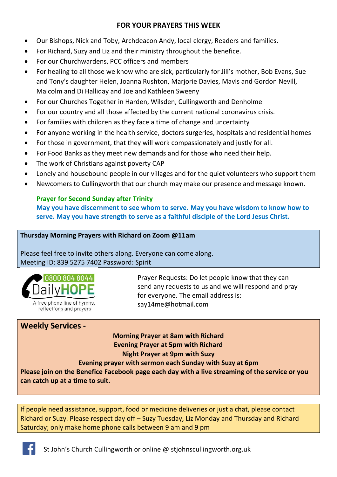#### **FOR YOUR PRAYERS THIS WEEK**

- Our Bishops, Nick and Toby, Archdeacon Andy, local clergy, Readers and families.
- For Richard, Suzy and Liz and their ministry throughout the benefice.
- For our Churchwardens, PCC officers and members
- For healing to all those we know who are sick, particularly for Jill's mother, Bob Evans, Sue and Tony's daughter Helen, Joanna Rushton, Marjorie Davies, Mavis and Gordon Nevill, Malcolm and Di Halliday and Joe and Kathleen Sweeny
- For our Churches Together in Harden, Wilsden, Cullingworth and Denholme
- For our country and all those affected by the current national coronavirus crisis.
- For families with children as they face a time of change and uncertainty
- For anyone working in the health service, doctors surgeries, hospitals and residential homes
- For those in government, that they will work compassionately and justly for all.
- For Food Banks as they meet new demands and for those who need their help.
- The work of Christians against poverty CAP
- Lonely and housebound people in our villages and for the quiet volunteers who support them
- Newcomers to Cullingworth that our church may make our presence and message known.

### **Prayer for Second Sunday after Trinity**

**May you have discernment to see whom to serve. May you have wisdom to know how to serve. May you have strength to serve as a faithful disciple of the Lord Jesus Christ.**

#### **Thursday Morning Prayers with Richard on Zoom @11am**

Please feel free to invite others along. Everyone can come along. Meeting ID: 839 5275 7402 Password: Spirit



Prayer Requests: Do let people know that they can send any requests to us and we will respond and pray for everyone. The email address is: [say14me@hotmail.com](mailto:say14me@hotmail.com)

# **Weekly Services -**

**Morning Prayer at 8am with Richard Evening Prayer at 5pm with Richard Night Prayer at 9pm with Suzy**

**Evening prayer with sermon each Sunday with Suzy at 6pm** 

**Please join on the Benefice Facebook page each day with a live streaming of the service or you can catch up at a time to suit.**

If people need assistance, support, food or medicine deliveries or just a chat, please contact Richard or Suzy. Please respect day off – Suzy Tuesday, Liz Monday and Thursday and Richard Saturday; only make home phone calls between 9 am and 9 pm

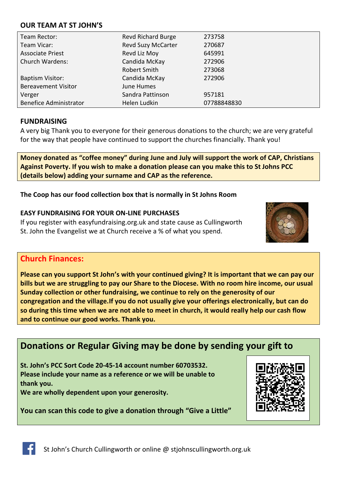#### **OUR TEAM AT ST JOHN'S**

| Team Rector:                  | <b>Revd Richard Burge</b> | 273758      |
|-------------------------------|---------------------------|-------------|
| Team Vicar:                   | <b>Revd Suzy McCarter</b> | 270687      |
| <b>Associate Priest</b>       | Revd Liz Moy              | 645991      |
| <b>Church Wardens:</b>        | Candida McKay             | 272906      |
|                               | Robert Smith              | 273068      |
| <b>Baptism Visitor:</b>       | Candida McKay             | 272906      |
| <b>Bereavement Visitor</b>    | June Humes                |             |
| Verger                        | Sandra Pattinson          | 957181      |
| <b>Benefice Administrator</b> | Helen Ludkin              | 07788848830 |

#### **FUNDRAISING**

A very big Thank you to everyone for their generous donations to the church; we are very grateful for the way that people have continued to support the churches financially. Thank you!

**Money donated as "coffee money" during June and July will support the work of CAP, Christians Against Poverty. If you wish to make a donation please can you make this to St Johns PCC (details below) adding your surname and CAP as the reference.**

#### **The Coop has our food collection box that is normally in St Johns Room**

#### **EASY FUNDRAISING FOR YOUR ON-LINE PURCHASES**

If you register with easyfundraising.org.uk and state cause as Cullingworth St. John the Evangelist we at Church receive a % of what you spend.



## **Church Finances:**

**Please can you support St John's with your continued giving? It is important that we can pay our bills but we are struggling to pay our Share to the Diocese. With no room hire income, our usual Sunday collection or other fundraising, we continue to rely on the generosity of our congregation and the village.If you do not usually give your offerings electronically, but can do so during this time when we are not able to meet in church, it would really help our cash flow and to continue our good works. Thank you.**

# **Donations or Regular Giving may be done by sending your gift to**

**St. John's PCC Sort Code 20-45-14 account number 60703532. Please include your name as a reference or we will be unable to thank you.**

**We are wholly dependent upon your generosity.**

**You can scan this code to give a donation through "Give a Little"**



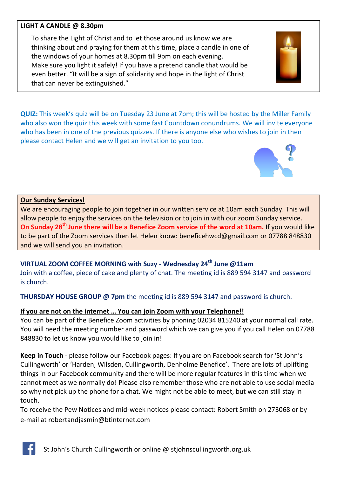#### **LIGHT A CANDLE @ 8.30pm**

To share the Light of Christ and to let those around us know we are thinking about and praying for them at this time, place a candle in one of the windows of your homes at 8.30pm till 9pm on each evening. Make sure you light it safely! If you have a pretend candle that would be even better. "It will be a sign of solidarity and hope in the light of Christ that can never be extinguished."

**QUIZ:** This week's quiz will be on Tuesday 23 June at 7pm; this will be hosted by the Miller Family who also won the quiz this week with some fast Countdown conundrums. We will invite everyone who has been in one of the previous quizzes. If there is anyone else who wishes to join in then please contact Helen and we will get an invitation to you too.

#### **Our Sunday Services!**

We are encouraging people to join together in our written service at 10am each Sunday. This will allow people to enjoy the services on the television or to join in with our zoom Sunday service. **On Sunday 28th June there will be a Benefice Zoom service of the word at 10am.** If you would like to be part of the Zoom services then let Helen know: [beneficehwcd@gmail.com](mailto:beneficehwcd@gmail.com) or 07788 848830 and we will send you an invitation.

## **VIRTUAL ZOOM COFFEE MORNING with Suzy - Wednesday 24th June @11am**

Join with a coffee, piece of cake and plenty of chat. The meeting id is 889 594 3147 and password is church.

**THURSDAY HOUSE GROUP @ 7pm** the meeting id is 889 594 3147 and password is church.

#### **If you are not on the internet … You can join Zoom with your Telephone!!**

You can be part of the Benefice Zoom activities by phoning 02034 815240 at your normal call rate. You will need the meeting number and password which we can give you if you call Helen on 07788 848830 to let us know you would like to join in!

**Keep in Touch** - please follow our Facebook pages: If you are on Facebook search for 'St John's Cullingworth' or 'Harden, Wilsden, Cullingworth, Denholme Benefice'. There are lots of uplifting things in our Facebook community and there will be more regular features in this time when we cannot meet as we normally do! Please also remember those who are not able to use social media so why not pick up the phone for a chat. We might not be able to meet, but we can still stay in touch.

To receive the Pew Notices and mid-week notices please contact: Robert Smith on 273068 or by e-mail at [robertandjasmin@btinternet.com](mailto:robertandjasmin@btinternet.com)